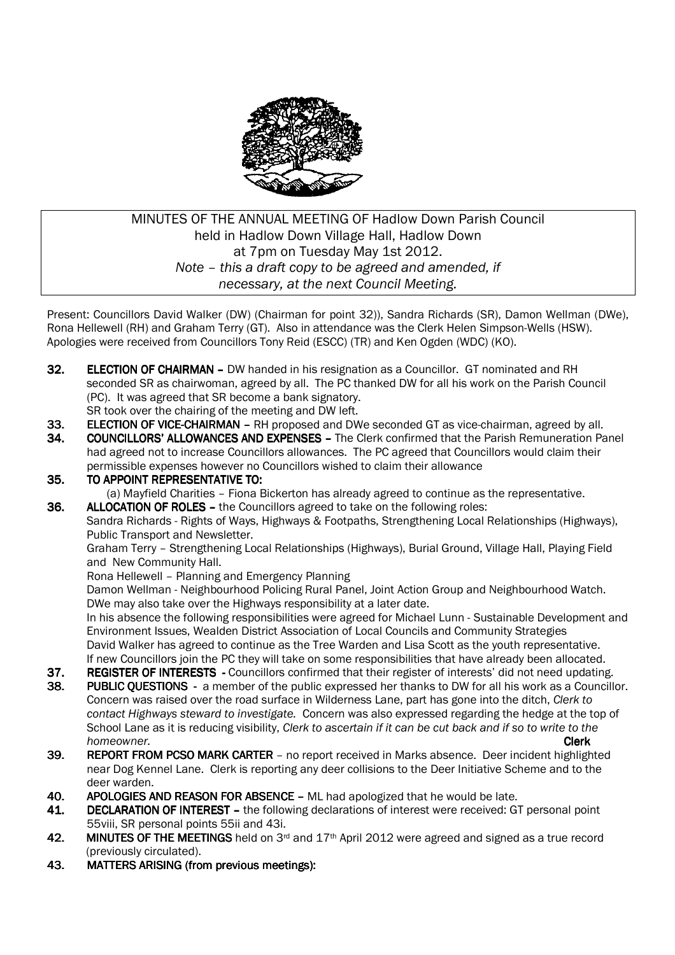

# MINUTES OF THE ANNUAL MEETING OF Hadlow Down Parish Council held in Hadlow Down Village Hall, Hadlow Down at 7pm on Tuesday May 1st 2012. *Note – this a draft copy to be agreed and amended, if necessary, at the next Council Meeting.*

Present: Councillors David Walker (DW) (Chairman for point 32)), Sandra Richards (SR), Damon Wellman (DWe), Rona Hellewell (RH) and Graham Terry (GT). Also in attendance was the Clerk Helen Simpson-Wells (HSW). Apologies were received from Councillors Tony Reid (ESCC) (TR) and Ken Ogden (WDC) (KO).

- 32. ELECTION OF CHAIRMAN DW handed in his resignation as a Councillor. GT nominated and RH seconded SR as chairwoman, agreed by all. The PC thanked DW for all his work on the Parish Council (PC). It was agreed that SR become a bank signatory.
	- SR took over the chairing of the meeting and DW left.
- 33. ELECTION OF VICE-CHAIRMAN RH proposed and DWe seconded GT as vice-chairman, agreed by all.
- 34. COUNCILLORS' ALLOWANCES AND EXPENSES The Clerk confirmed that the Parish Remuneration Panel had agreed not to increase Councillors allowances. The PC agreed that Councillors would claim their permissible expenses however no Councillors wished to claim their allowance
- 35. TO APPOINT REPRESENTATIVE TO:
	- (a) Mayfield Charities Fiona Bickerton has already agreed to continue as the representative.
- **36. ALLOCATION OF ROLES** the Councillors agreed to take on the following roles:

 Sandra Richards - Rights of Ways, Highways & Footpaths, Strengthening Local Relationships (Highways), Public Transport and Newsletter.

Graham Terry – Strengthening Local Relationships (Highways), Burial Ground, Village Hall, Playing Field and New Community Hall.

Rona Hellewell – Planning and Emergency Planning

 Damon Wellman - Neighbourhood Policing Rural Panel, Joint Action Group and Neighbourhood Watch. DWe may also take over the Highways responsibility at a later date.

 In his absence the following responsibilities were agreed for Michael Lunn - Sustainable Development and Environment Issues, Wealden District Association of Local Councils and Community Strategies David Walker has agreed to continue as the Tree Warden and Lisa Scott as the youth representative. If new Councillors join the PC they will take on some responsibilities that have already been allocated.

- **37. REGISTER OF INTERESTS** Councillors confirmed that their register of interests' did not need updating.
- 38. PUBLIC QUESTIONS a member of the public expressed her thanks to DW for all his work as a Councillor. Concern was raised over the road surface in Wilderness Lane, part has gone into the ditch, *Clerk to contact Highways steward to investigate.* Concern was also expressed regarding the hedge at the top of School Lane as it is reducing visibility, *Clerk to ascertain if it can be cut back and if so to write to the homeowner.* Clerk
- 39. REPORT FROM PCSO MARK CARTER no report received in Marks absence. Deer incident highlighted near Dog Kennel Lane. Clerk is reporting any deer collisions to the Deer Initiative Scheme and to the deer warden.
- 40. APOLOGIES AND REASON FOR ABSENCE ML had apologized that he would be late.
- 41. DECLARATION OF INTEREST the following declarations of interest were received: GT personal point 55viii, SR personal points 55ii and 43i.
- 42. MINUTES OF THE MEETINGS held on  $3<sup>rd</sup>$  and  $17<sup>th</sup>$  April 2012 were agreed and signed as a true record (previously circulated).
- 43. MATTERS ARISING (from previous meetings):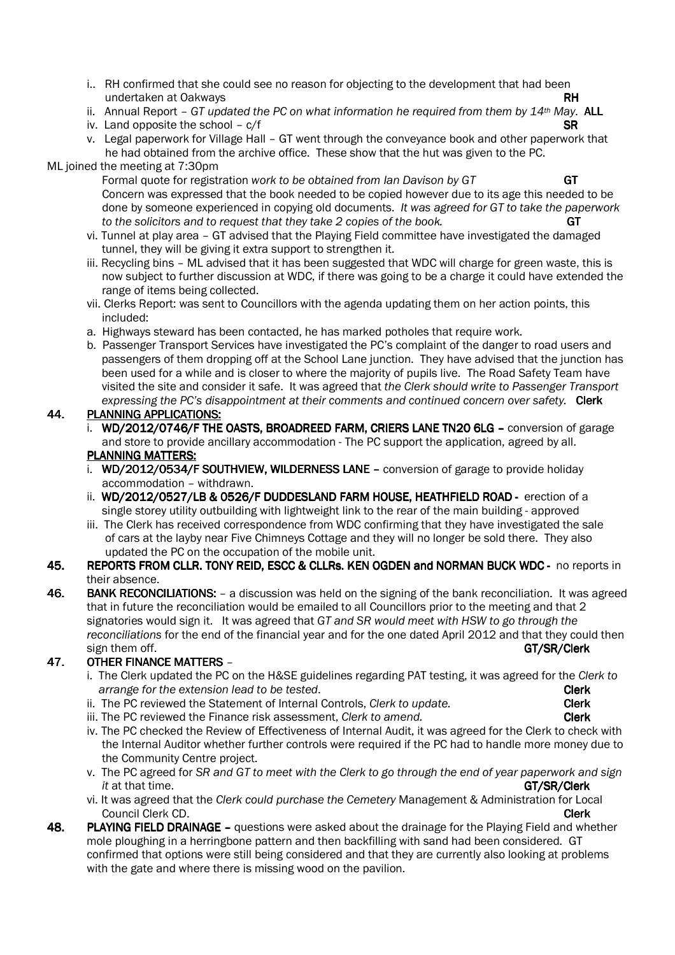- i.. RH confirmed that she could see no reason for objecting to the development that had been undertaken at Oakways **RH**
- ii. Annual Report *GT updated the PC on what information he required from them by 14th May*. ALL
- iv. Land opposite the school  $c/f$  SR
- v. Legal paperwork for Village Hall GT went through the conveyance book and other paperwork that he had obtained from the archive office. These show that the hut was given to the PC.

### ML joined the meeting at 7:30pm

 Formal quote for registration *work to be obtained from Ian Davison by GT* GT Concern was expressed that the book needed to be copied however due to its age this needed to be done by someone experienced in copying old documents. *It was agreed for GT to take the paperwork*  to the solicitors and to request that they take 2 copies of the book.

- vi. Tunnel at play area GT advised that the Playing Field committee have investigated the damaged tunnel, they will be giving it extra support to strengthen it.
- iii. Recycling bins ML advised that it has been suggested that WDC will charge for green waste, this is now subject to further discussion at WDC, if there was going to be a charge it could have extended the range of items being collected.
- vii. Clerks Report: was sent to Councillors with the agenda updating them on her action points, this included:
- a. Highways steward has been contacted, he has marked potholes that require work.
- b. Passenger Transport Services have investigated the PC's complaint of the danger to road users and passengers of them dropping off at the School Lane junction. They have advised that the junction has been used for a while and is closer to where the majority of pupils live. The Road Safety Team have visited the site and consider it safe. It was agreed that *the Clerk should write to Passenger Transport*  expressing the PC's disappointment at their comments and continued concern over safety. **Clerk**

## 44. PLANNING APPLICATIONS:

- i. WD/2012/0746/F THE OASTS, BROADREED FARM, CRIERS LANE TN20 6LG conversion of garage and store to provide ancillary accommodation - The PC support the application, agreed by all. PLANNING MATTERS:
- i. WD/2012/0534/F SOUTHVIEW, WILDERNESS LANE conversion of garage to provide holiday accommodation – withdrawn.
- ii. WD/2012/0527/LB & 0526/F DUDDESLAND FARM HOUSE. HEATHFIELD ROAD erection of a single storey utility outbuilding with lightweight link to the rear of the main building - approved
- iii. The Clerk has received correspondence from WDC confirming that they have investigated the sale of cars at the layby near Five Chimneys Cottage and they will no longer be sold there. They also updated the PC on the occupation of the mobile unit.
- 45. REPORTS FROM CLLR. TONY REID. ESCC & CLLRS. KEN OGDEN and NORMAN BUCK WDC no reports in their absence.
- 46. BANK RECONCILIATIONS: a discussion was held on the signing of the bank reconciliation. It was agreed that in future the reconciliation would be emailed to all Councillors prior to the meeting and that 2 signatories would sign it. It was agreed that *GT and SR would meet with HSW to go through the reconciliations* for the end of the financial year and for the one dated April 2012 and that they could then sign them off. GT/SR/Clerk

# 47. OTHER FINANCE MATTERS -

- i. The Clerk updated the PC on the H&SE guidelines regarding PAT testing, it was agreed for the *Clerk to arrange for the extension lead to be tested.* **Clerk and the set of the contract of the clerk clerk**
- ii. The PC reviewed the Statement of Internal Controls, *Clerk to update.* **Clerk Clerk**
- iii. The PC reviewed the Finance risk assessment, *Clerk to amend.* **Clerk Clerk**
- iv. The PC checked the Review of Effectiveness of Internal Audit, it was agreed for the Clerk to check with the Internal Auditor whether further controls were required if the PC had to handle more money due to the Community Centre project.
- v. The PC agreed for *SR and GT to meet with the Clerk to go through the end of year paperwork and sign it* at that time. GT/SR/Clerk GT/SR/Clerk GT/SR/Clerk GT/SR/Clerk GT/SR/Clerk GT/SR/Clerk
- vi. It was agreed that the *Clerk could purchase the Cemetery* Management & Administration for Local **Council Clerk CD.** Council Clerk CD.
- 48. PLAYING FIELD DRAINAGE questions were asked about the drainage for the Playing Field and whether mole ploughing in a herringbone pattern and then backfilling with sand had been considered. GT confirmed that options were still being considered and that they are currently also looking at problems with the gate and where there is missing wood on the pavilion.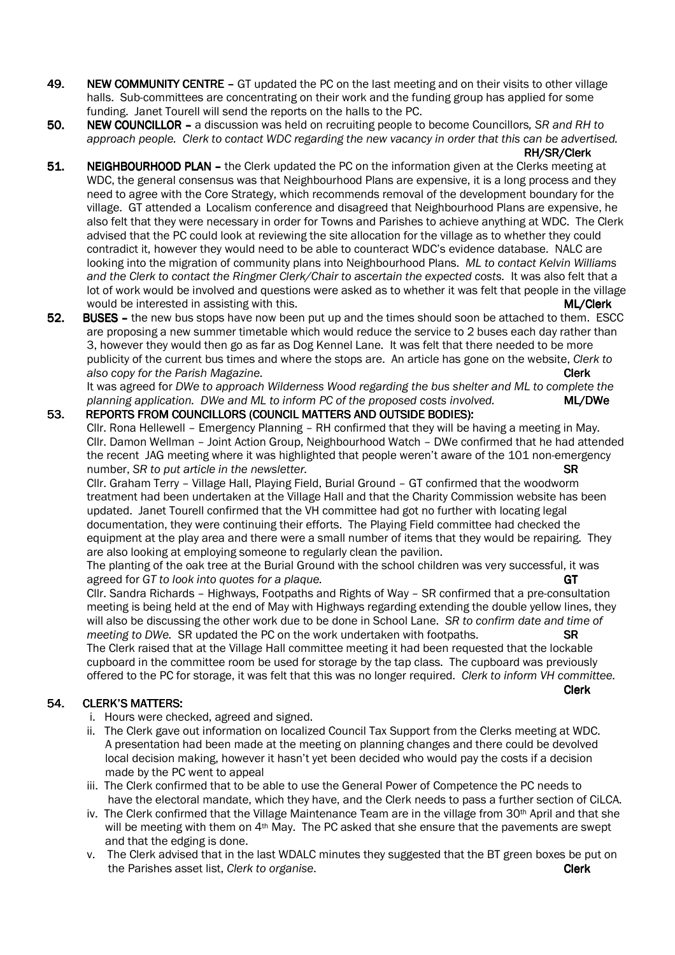- 49. NEW COMMUNITY CENTRE GT updated the PC on the last meeting and on their visits to other village halls. Sub-committees are concentrating on their work and the funding group has applied for some funding. Janet Tourell will send the reports on the halls to the PC.
- 50. NEW COUNCILLOR a discussion was held on recruiting people to become Councillors, SR and RH to  *approach people. Clerk to contact WDC regarding the new vacancy in order that this can be advertised.*

#### RH/SR/Clerk

- 51. NEIGHBOURHOOD PLAN the Clerk updated the PC on the information given at the Clerks meeting at WDC, the general consensus was that Neighbourhood Plans are expensive, it is a long process and they need to agree with the Core Strategy, which recommends removal of the development boundary for the village. GT attended a Localism conference and disagreed that Neighbourhood Plans are expensive, he also felt that they were necessary in order for Towns and Parishes to achieve anything at WDC. The Clerk advised that the PC could look at reviewing the site allocation for the village as to whether they could contradict it, however they would need to be able to counteract WDC's evidence database. NALC are looking into the migration of community plans into Neighbourhood Plans. *ML to contact Kelvin Williams and the Clerk to contact the Ringmer Clerk/Chair to ascertain the expected costs.* It was also felt that a lot of work would be involved and questions were asked as to whether it was felt that people in the village would be interested in assisting with this. ML/Clerk L/Clerk L/Clerk L/Clerk L/Clerk L/Clerk L/Clerk L/Clerk L/Clerk L/Clerk L/Clerk L/Clerk L/Clerk L/Clerk L/Clerk L/Clerk L/Clerk L/Clerk L/Clerk L/Clerk L/Clerk L/Clerk L
- 52. BUSES the new bus stops have now been put up and the times should soon be attached to them. ESCC are proposing a new summer timetable which would reduce the service to 2 buses each day rather than 3, however they would then go as far as Dog Kennel Lane. It was felt that there needed to be more publicity of the current bus times and where the stops are. An article has gone on the website, *Clerk to also copy for the Parish Magazine.* Clerk

It was agreed for *DWe to approach Wilderness Wood regarding the bus shelter and ML to complete the planning application. DWe and ML to inform PC of the proposed costs involved.* ML/DWe

#### 53. REPORTS FROM COUNCILLORS (COUNCIL MATTERS AND OUTSIDE BODIES):

 Cllr. Rona Hellewell – Emergency Planning – RH confirmed that they will be having a meeting in May. Cllr. Damon Wellman – Joint Action Group, Neighbourhood Watch – DWe confirmed that he had attended the recent JAG meeting where it was highlighted that people weren't aware of the 101 non-emergency number, *SR to put article in the newsletter.* **SR the newslet of the newslet of the newslet of the set of the s** 

 Cllr. Graham Terry – Village Hall, Playing Field, Burial Ground – GT confirmed that the woodworm treatment had been undertaken at the Village Hall and that the Charity Commission website has been updated. Janet Tourell confirmed that the VH committee had got no further with locating legal documentation, they were continuing their efforts. The Playing Field committee had checked the equipment at the play area and there were a small number of items that they would be repairing. They are also looking at employing someone to regularly clean the pavilion.

The planting of the oak tree at the Burial Ground with the school children was very successful, it was agreed for *GT to look into quotes for a plaque.* GT

Cllr. Sandra Richards – Highways, Footpaths and Rights of Way – SR confirmed that a pre-consultation meeting is being held at the end of May with Highways regarding extending the double yellow lines, they will also be discussing the other work due to be done in School Lane. *SR to confirm date and time of meeting to DWe.* SR updated the PC on the work undertaken with footpaths. **SR SR** The Clerk raised that at the Village Hall committee meeting it had been requested that the lockable

cupboard in the committee room be used for storage by the tap class. The cupboard was previously offered to the PC for storage, it was felt that this was no longer required. *Clerk to inform VH committee.* Clerk

#### 54. CLERK'S MATTERS:

- i. Hours were checked, agreed and signed.
- ii. The Clerk gave out information on localized Council Tax Support from the Clerks meeting at WDC. A presentation had been made at the meeting on planning changes and there could be devolved local decision making, however it hasn't yet been decided who would pay the costs if a decision made by the PC went to appeal
- iii. The Clerk confirmed that to be able to use the General Power of Competence the PC needs to have the electoral mandate, which they have, and the Clerk needs to pass a further section of CiLCA.
- iv. The Clerk confirmed that the Village Maintenance Team are in the village from 30<sup>th</sup> April and that she will be meeting with them on 4<sup>th</sup> May. The PC asked that she ensure that the pavements are swept and that the edging is done.
- v. The Clerk advised that in the last WDALC minutes they suggested that the BT green boxes be put on the Parishes asset list, *Clerk to organise*. Clerk